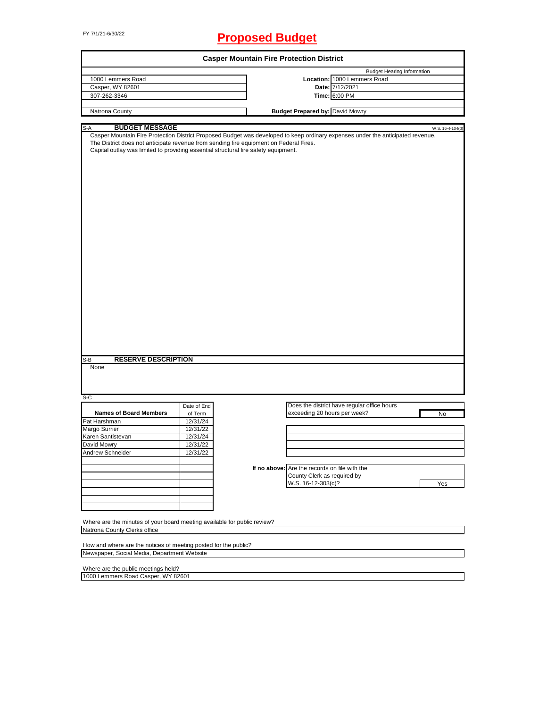# FY 7/1/21-6/30/22 **Proposed Budget**

|                                                                                                                                                                                                                            |             | <b>Casper Mountain Fire Protection District</b> |                                                                                                                                 |                  |
|----------------------------------------------------------------------------------------------------------------------------------------------------------------------------------------------------------------------------|-------------|-------------------------------------------------|---------------------------------------------------------------------------------------------------------------------------------|------------------|
|                                                                                                                                                                                                                            |             |                                                 | <b>Budget Hearing Information</b>                                                                                               |                  |
| 1000 Lemmers Road                                                                                                                                                                                                          |             |                                                 | Location: 1000 Lemmers Road                                                                                                     |                  |
| Casper, WY 82601                                                                                                                                                                                                           |             |                                                 | Date: 7/12/2021                                                                                                                 |                  |
| 307-262-3346                                                                                                                                                                                                               |             |                                                 | Time: 6:00 PM                                                                                                                   |                  |
|                                                                                                                                                                                                                            |             |                                                 |                                                                                                                                 |                  |
| Natrona County                                                                                                                                                                                                             |             |                                                 | <b>Budget Prepared by: David Mowry</b>                                                                                          |                  |
|                                                                                                                                                                                                                            |             |                                                 |                                                                                                                                 |                  |
| <b>BUDGET MESSAGE</b><br>S-A                                                                                                                                                                                               |             |                                                 |                                                                                                                                 | W.S. 16-4-104(d) |
| The District does not anticipate revenue from sending fire equipment on Federal Fires.<br>Capital outlay was limited to providing essential structural fire safety equipment.<br><b>RESERVE DESCRIPTION</b><br>S-B<br>None |             |                                                 | Casper Mountain Fire Protection District Proposed Budget was developed to keep ordinary expenses under the anticipated revenue. |                  |
|                                                                                                                                                                                                                            |             |                                                 |                                                                                                                                 |                  |
| S-C                                                                                                                                                                                                                        |             |                                                 |                                                                                                                                 |                  |
|                                                                                                                                                                                                                            | Date of End |                                                 | Does the district have regular office hours                                                                                     |                  |
| <b>Names of Board Members</b>                                                                                                                                                                                              | of Term     |                                                 | exceeding 20 hours per week?                                                                                                    | No               |
| Pat Harshman                                                                                                                                                                                                               | 12/31/24    |                                                 |                                                                                                                                 |                  |
| Margo Surrier                                                                                                                                                                                                              | 12/31/22    |                                                 |                                                                                                                                 |                  |
| Karen Santistevan                                                                                                                                                                                                          | 12/31/24    |                                                 |                                                                                                                                 |                  |
| David Mowry                                                                                                                                                                                                                | 12/31/22    |                                                 |                                                                                                                                 |                  |
| Andrew Schneider                                                                                                                                                                                                           | 12/31/22    |                                                 |                                                                                                                                 |                  |
|                                                                                                                                                                                                                            |             |                                                 |                                                                                                                                 |                  |
|                                                                                                                                                                                                                            |             | If no above: Are the records on file with the   |                                                                                                                                 |                  |
|                                                                                                                                                                                                                            |             |                                                 |                                                                                                                                 |                  |
|                                                                                                                                                                                                                            |             |                                                 | County Clerk as required by                                                                                                     |                  |
|                                                                                                                                                                                                                            |             | W.S. 16-12-303(c)?                              |                                                                                                                                 | Yes              |
|                                                                                                                                                                                                                            |             |                                                 |                                                                                                                                 |                  |
|                                                                                                                                                                                                                            |             |                                                 |                                                                                                                                 |                  |
|                                                                                                                                                                                                                            |             |                                                 |                                                                                                                                 |                  |
|                                                                                                                                                                                                                            |             |                                                 |                                                                                                                                 |                  |
| Where are the minutes of your board meeting available for public review?                                                                                                                                                   |             |                                                 |                                                                                                                                 |                  |
| Natrona County Clerks office                                                                                                                                                                                               |             |                                                 |                                                                                                                                 |                  |
|                                                                                                                                                                                                                            |             |                                                 |                                                                                                                                 |                  |
| How and where are the notices of meeting posted for the public?                                                                                                                                                            |             |                                                 |                                                                                                                                 |                  |
| Newspaper, Social Media, Department Website                                                                                                                                                                                |             |                                                 |                                                                                                                                 |                  |
|                                                                                                                                                                                                                            |             |                                                 |                                                                                                                                 |                  |
| Where are the public meetings held?                                                                                                                                                                                        |             |                                                 |                                                                                                                                 |                  |
| 1000 Lemmers Road Casper, WY 82601                                                                                                                                                                                         |             |                                                 |                                                                                                                                 |                  |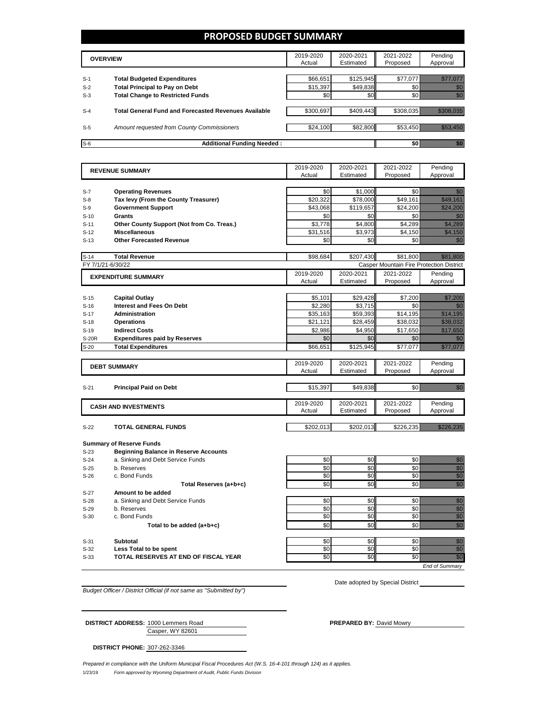#### **PROPOSED BUDGET SUMMARY**

|       | <b>OVERVIEW</b>                                             | 2019-2020<br>Actual | 2020-2021<br>Estimated | 2021-2022<br>Proposed | Pending<br>Approval |
|-------|-------------------------------------------------------------|---------------------|------------------------|-----------------------|---------------------|
| $S-1$ | <b>Total Budgeted Expenditures</b>                          | \$66,651            | \$125,945              | \$77,077              |                     |
| $S-2$ | <b>Total Principal to Pay on Debt</b>                       | \$15,397            | \$49,838               |                       |                     |
| $S-3$ | <b>Total Change to Restricted Funds</b>                     | \$0                 | \$0                    |                       |                     |
|       |                                                             |                     |                        |                       |                     |
| $S-4$ | <b>Total General Fund and Forecasted Revenues Available</b> | \$300,697           | \$409,443              | \$308.035             |                     |
|       |                                                             |                     |                        |                       |                     |
| $S-5$ | Amount requested from County Commissioners                  | \$24,100            | \$82,800               | \$53,450              |                     |
| $S-6$ | <b>Additional Funding Needed:</b>                           |                     |                        |                       |                     |

| <b>REVENUE SUMMARY</b> |                                              | 2019-2020 | 2020-2021 | 2021-2022                                | Pending                                                                                                                                                                                                                          |
|------------------------|----------------------------------------------|-----------|-----------|------------------------------------------|----------------------------------------------------------------------------------------------------------------------------------------------------------------------------------------------------------------------------------|
|                        |                                              | Actual    | Estimated | Proposed                                 | Approval                                                                                                                                                                                                                         |
|                        |                                              |           |           |                                          |                                                                                                                                                                                                                                  |
| $S-7$                  | <b>Operating Revenues</b>                    | \$0       | \$1,000   | \$0                                      | en de la familie de la familie de la familie de la familie de la familie de la familie de la familie de la fam<br>De la familie de la familie de la familie de la familie de la familie de la familie de la familie de la famili |
| $S-8$                  | Tax levy (From the County Treasurer)         | \$20,322  | \$78,000  | \$49,161                                 | <u>Mariji ya K</u>                                                                                                                                                                                                               |
| $S-9$                  | <b>Government Support</b>                    | \$43.068  | \$119.657 | \$24,200                                 | <u>Hilliklikko k</u>                                                                                                                                                                                                             |
| $S-10$                 | Grants                                       | \$0       | \$0       | \$0                                      | en de la familie de la familie de la familie de la familie de la familie de la familie de la familie de la fam<br>De la familie de la familie de la familie de la familie de la familie de la familie de la familie de la famili |
| $S-11$                 | Other County Support (Not from Co. Treas.)   | \$3,778   | \$4,800   | \$4,289                                  | <u>saan ku</u>                                                                                                                                                                                                                   |
| $S-12$                 | <b>Miscellaneous</b>                         | \$31,516  | \$3,973   | \$4.150                                  | <u>saman k</u>                                                                                                                                                                                                                   |
| $S-13$                 | <b>Other Forecasted Revenue</b>              | \$0       | \$0       | \$0                                      | ni ka                                                                                                                                                                                                                            |
|                        |                                              |           |           |                                          |                                                                                                                                                                                                                                  |
| $S-14$                 | <b>Total Revenue</b>                         | \$98.684  | \$207.430 | \$81.800                                 | <u> Kalendari Sa</u>                                                                                                                                                                                                             |
|                        | FY 7/1/21-6/30/22                            |           |           | Casper Mountain Fire Protection District |                                                                                                                                                                                                                                  |
|                        |                                              | 2019-2020 | 2020-2021 | 2021-2022                                | Pending                                                                                                                                                                                                                          |
|                        | <b>EXPENDITURE SUMMARY</b>                   | Actual    | Estimated | Proposed                                 | Approval                                                                                                                                                                                                                         |
|                        |                                              |           |           |                                          |                                                                                                                                                                                                                                  |
| $S-15$                 | <b>Capital Outlay</b>                        | \$5,101   | \$29,428  | \$7,200                                  | <u>Million S</u>                                                                                                                                                                                                                 |
| $S-16$                 | <b>Interest and Fees On Debt</b>             | \$2,280   | \$3,715   | \$0                                      | <u>film</u>                                                                                                                                                                                                                      |
| $S-17$                 | <b>Administration</b>                        | \$35,163  | \$59,393  | \$14,195                                 | <u>istorialisti k</u>                                                                                                                                                                                                            |
| $S-18$                 | <b>Operations</b>                            | \$21,121  | \$28,459  | \$38,032                                 | <u> Hillian San B</u>                                                                                                                                                                                                            |
| $S-19$                 | <b>Indirect Costs</b>                        | \$2,986   | \$4,950   | \$17,650                                 | <u> Hillingar sa</u>                                                                                                                                                                                                             |
| <b>S-20R</b>           | <b>Expenditures paid by Reserves</b>         | \$0       | \$0       | \$0                                      | 1999                                                                                                                                                                                                                             |
| $S-20$                 | <b>Total Expenditures</b>                    | \$66,651  | \$125,945 | \$77,077                                 | a katika katika katika katika katika katika katika katika katika katika katika katika katika katika katika kat<br>Manazarta                                                                                                      |
|                        |                                              |           |           |                                          |                                                                                                                                                                                                                                  |
|                        |                                              | 2019-2020 | 2020-2021 | 2021-2022                                | Pending                                                                                                                                                                                                                          |
|                        | <b>DEBT SUMMARY</b>                          | Actual    | Estimated | Proposed                                 | Approval                                                                                                                                                                                                                         |
|                        |                                              |           |           |                                          |                                                                                                                                                                                                                                  |
| $S-21$                 | <b>Principal Paid on Debt</b>                | \$15,397  | \$49,838  | \$0                                      | en de la familie de la familie de la familie de la familie de la familie de la familie de la familie de la fam<br>Constituit de la familie de la familie de la familie de la familie de la familie de la familie de la familie d |
|                        |                                              |           |           |                                          |                                                                                                                                                                                                                                  |
|                        |                                              | 2019-2020 | 2020-2021 | 2021-2022                                | Pending                                                                                                                                                                                                                          |
|                        | <b>CASH AND INVESTMENTS</b>                  | Actual    | Estimated | Proposed                                 | Approval                                                                                                                                                                                                                         |
|                        |                                              |           |           |                                          |                                                                                                                                                                                                                                  |
| $S-22$                 | <b>TOTAL GENERAL FUNDS</b>                   | \$202,013 | \$202,013 | \$226,235                                | <u> Hillis Allin H</u>                                                                                                                                                                                                           |
|                        |                                              |           |           |                                          |                                                                                                                                                                                                                                  |
|                        | <b>Summary of Reserve Funds</b>              |           |           |                                          |                                                                                                                                                                                                                                  |
| $S-23$                 | <b>Beginning Balance in Reserve Accounts</b> |           |           |                                          |                                                                                                                                                                                                                                  |
| $S-24$                 | a. Sinking and Debt Service Funds            | \$0       | \$0       | \$0                                      | en de la forma de la forma de la forma de la forma de la forma de la forma de la forma de la forma de la forma<br>Establecer de la forma de la forma de la forma de la forma de la forma de la forma de la forma de la forma de  |
| $S-25$                 | b. Reserves                                  | \$0       | \$0       | \$0                                      |                                                                                                                                                                                                                                  |
| $S-26$                 | c. Bond Funds                                | \$0       | \$0       | \$0                                      | e de la composición de la composición de la composición de la composición de la composición de la composición<br>Campo de la composición de la composición de la composición de la composición de la composición de la composic  |
|                        | Total Reserves (a+b+c)                       | \$0       | \$0       | \$0                                      | en de la familie de la familie de la familie de la familie de la familie de la familie de la familie de la fa<br>Geografia                                                                                                       |
| $S-27$                 | Amount to be added                           |           |           |                                          |                                                                                                                                                                                                                                  |
| $S-28$                 | a. Sinking and Debt Service Funds            | \$0       | \$0       | \$0                                      | enne<br>Gallia                                                                                                                                                                                                                   |
| $S-29$                 | b. Reserves                                  | \$0       | \$0       | \$0                                      | en de la familie de la familie de la familie de la familie de la familie de la familie de la familie de la fam<br>Estat de la familie de la familie de la familie de la familie de la familie de la familie de la familie de la  |
| $S-30$                 | c. Bond Funds                                | \$0       | \$0       | \$0                                      | enne<br>Mille                                                                                                                                                                                                                    |
|                        |                                              | \$0       | \$0       | \$0                                      | en<br>Geografia                                                                                                                                                                                                                  |
|                        | Total to be added (a+b+c)                    |           |           |                                          |                                                                                                                                                                                                                                  |
|                        | Subtotal                                     | \$0       | \$0       | \$0                                      |                                                                                                                                                                                                                                  |
| $S-31$<br>$S-32$       | Less Total to be spent                       | \$0       | \$0       | \$0                                      | en de la population de la population de la population de la population de la population de la population de la<br>Comme de la population de la population de la population de la population de la population de la population de |
| $S-33$                 | TOTAL RESERVES AT END OF FISCAL YEAR         | \$0       | \$0       | $\overline{50}$                          | en de la filòlogía<br>Album                                                                                                                                                                                                      |
|                        |                                              |           |           |                                          |                                                                                                                                                                                                                                  |
|                        |                                              |           |           |                                          | <b>End of Summary</b>                                                                                                                                                                                                            |

*Budget Officer / District Official (if not same as "Submitted by")*

Date adopted by Special District

Casper, WY 82601 **DISTRICT ADDRESS:** 1000 Lemmers Road **PREPARED BY:** David Mowry

**DISTRICT PHONE:** 307-262-3346

1/23/19 *Form approved by Wyoming Department of Audit, Public Funds Division Prepared in compliance with the Uniform Municipal Fiscal Procedures Act (W.S. 16-4-101 through 124) as it applies.*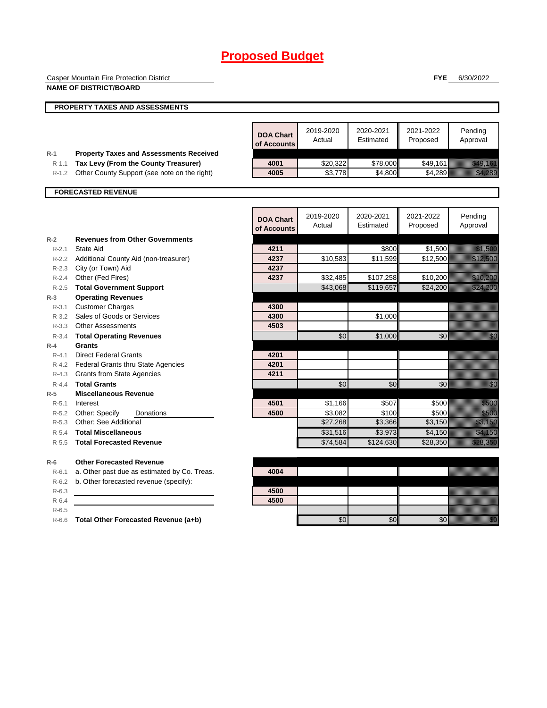# **Proposed Budget**

|                    | Casper Mountain Fire Protection District                                               |                                 |                     |                        | <b>FYE</b>            | 6/30/2022                                                                                                                                                                                                                        |
|--------------------|----------------------------------------------------------------------------------------|---------------------------------|---------------------|------------------------|-----------------------|----------------------------------------------------------------------------------------------------------------------------------------------------------------------------------------------------------------------------------|
|                    | <b>NAME OF DISTRICT/BOARD</b>                                                          |                                 |                     |                        |                       |                                                                                                                                                                                                                                  |
|                    | PROPERTY TAXES AND ASSESSMENTS                                                         |                                 |                     |                        |                       |                                                                                                                                                                                                                                  |
|                    |                                                                                        |                                 |                     |                        |                       |                                                                                                                                                                                                                                  |
|                    |                                                                                        | <b>DOA Chart</b><br>of Accounts | 2019-2020<br>Actual | 2020-2021<br>Estimated | 2021-2022<br>Proposed | Pending<br>Approval                                                                                                                                                                                                              |
| $R-1$<br>$R-1.1$   | <b>Property Taxes and Assessments Received</b><br>Tax Levy (From the County Treasurer) | 4001                            | \$20,322            | \$78,000               | \$49,161              | <u>i karajentalan pa</u>                                                                                                                                                                                                         |
| $R-1.2$            | Other County Support (see note on the right)                                           | 4005                            | \$3,778             | \$4,800                | \$4,289               | <u>tik ka</u>                                                                                                                                                                                                                    |
|                    |                                                                                        |                                 |                     |                        |                       |                                                                                                                                                                                                                                  |
|                    | <b>FORECASTED REVENUE</b>                                                              |                                 |                     |                        |                       |                                                                                                                                                                                                                                  |
|                    |                                                                                        | <b>DOA Chart</b><br>of Accounts | 2019-2020<br>Actual | 2020-2021<br>Estimated | 2021-2022<br>Proposed | Pending<br>Approval                                                                                                                                                                                                              |
| $R-2$              | <b>Revenues from Other Governments</b>                                                 |                                 |                     |                        |                       |                                                                                                                                                                                                                                  |
| $R - 2.1$          | State Aid                                                                              | 4211                            |                     | \$800                  | \$1,500               | <u> Karlingan yang berasala</u>                                                                                                                                                                                                  |
|                    | R-2.2 Additional County Aid (non-treasurer)                                            | 4237                            | \$10,583            | \$11,599               | \$12,500              | <u>e di ma</u>                                                                                                                                                                                                                   |
| $R - 2.3$<br>R-2.4 | City (or Town) Aid<br>Other (Fed Fires)                                                | 4237<br>4237                    | \$32,485            | \$107,258              | \$10,200              | <u> Kalifornia (h. 1888)</u>                                                                                                                                                                                                     |
| $R - 2.5$          | <b>Total Government Support</b>                                                        |                                 | \$43,068            | \$119,657              | \$24,200              | a katalunggal katalunggal katalunggal katalunggal katalunggal katalunggal katalunggal katalunggal katalunggal<br>Katalunggal katalunggal katalunggal katalunggal katalunggal katalunggal katalunggal katalunggal katalunggal ka  |
| $R-3$              | <b>Operating Revenues</b>                                                              |                                 |                     |                        |                       |                                                                                                                                                                                                                                  |
| R-3.1              | <b>Customer Charges</b>                                                                | 4300                            |                     |                        |                       |                                                                                                                                                                                                                                  |
| $R - 3.2$          | Sales of Goods or Services                                                             | 4300                            |                     | \$1,000                |                       |                                                                                                                                                                                                                                  |
| $R - 3.3$          | <b>Other Assessments</b>                                                               | 4503                            |                     |                        |                       |                                                                                                                                                                                                                                  |
| $R - 3.4$          | <b>Total Operating Revenues</b>                                                        |                                 | \$0                 | \$1,000                | \$0                   | en de la familie de la familie de la familie de la familie de la familie de la familie de la familie de la fam<br>De la familie de la familie de la familie de la familie de la familie de la familie de la familie de la famili |
| $R-4$              | <b>Grants</b>                                                                          |                                 |                     |                        |                       |                                                                                                                                                                                                                                  |
| $R - 4.1$          | <b>Direct Federal Grants</b>                                                           | 4201                            |                     |                        |                       |                                                                                                                                                                                                                                  |
| $R-4.3$            | R-4.2 Federal Grants thru State Agencies<br><b>Grants from State Agencies</b>          | 4201<br>4211                    |                     |                        |                       |                                                                                                                                                                                                                                  |
| $R - 4.4$          | <b>Total Grants</b>                                                                    |                                 | \$0                 | \$0                    | \$0                   | <u>i Sa</u>                                                                                                                                                                                                                      |
| $R-5$              | <b>Miscellaneous Revenue</b>                                                           |                                 |                     |                        |                       |                                                                                                                                                                                                                                  |
| $R - 5.1$          | Interest                                                                               | 4501                            | \$1,166             | \$507                  | \$500                 | <u>tik k</u>                                                                                                                                                                                                                     |
| R-5.2              | Other: Specify<br>Donations                                                            | 4500                            | \$3,082             | \$100                  | \$500                 | <u>ti ka</u>                                                                                                                                                                                                                     |
| $R-5.3$            | Other: See Additional                                                                  |                                 | \$27,268            | \$3,366                | \$3,150               | <u>ti ka</u>                                                                                                                                                                                                                     |
| $R - 5.4$          | <b>Total Miscellaneous</b>                                                             |                                 | \$31,516            | \$3,973                | \$4,150               | <u> Karlin Maria Sant</u>                                                                                                                                                                                                        |
| $R-5.5$            | <b>Total Forecasted Revenue</b>                                                        |                                 | \$74,584            | \$124,630              | \$28,350              | <u> Hillingar</u>                                                                                                                                                                                                                |
| $R-6$              | <b>Other Forecasted Revenue</b>                                                        |                                 |                     |                        |                       |                                                                                                                                                                                                                                  |
| $R-6.1$            | a. Other past due as estimated by Co. Treas.                                           | 4004                            |                     |                        |                       |                                                                                                                                                                                                                                  |
| $R-6.2$            | b. Other forecasted revenue (specify):                                                 |                                 |                     |                        |                       |                                                                                                                                                                                                                                  |
| $R-6.3$            |                                                                                        | 4500                            |                     |                        |                       |                                                                                                                                                                                                                                  |
| $R-6.4$            |                                                                                        | 4500                            |                     |                        |                       |                                                                                                                                                                                                                                  |
| $R-6.5$            |                                                                                        |                                 |                     |                        |                       |                                                                                                                                                                                                                                  |
|                    | R-6.6 Total Other Forecasted Revenue (a+b)                                             |                                 | \$0                 | \$0                    | \$0                   |                                                                                                                                                                                                                                  |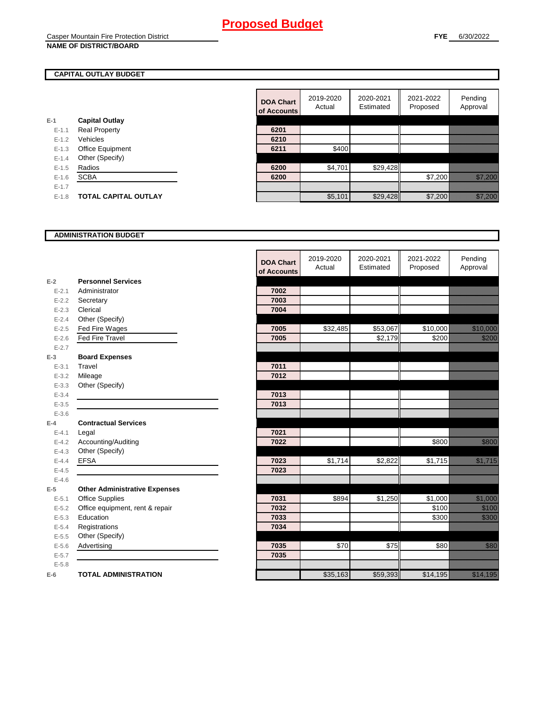#### **CAPITAL OUTLAY BUDGET**

| $E-1$     | <b>Capital Outlay</b>       |      |
|-----------|-----------------------------|------|
| $E - 1.1$ | <b>Real Property</b>        | 6201 |
| $E - 1.2$ | Vehicles                    | 6210 |
| $E-1.3$   | <b>Office Equipment</b>     | 6211 |
| $E - 1.4$ | Other (Specify)             |      |
| $E - 1.5$ | Radios                      | 6200 |
| $E-1.6$   | <b>SCBA</b>                 | 6200 |
| $E - 1.7$ |                             |      |
| $E - 1.8$ | <b>TOTAL CAPITAL OUTLAY</b> |      |
|           |                             |      |

|           |                             | <b>DOA Chart</b><br>of Accounts | 2019-2020<br>Actual | 2020-2021<br>Estimated | 2021-2022<br>Proposed | Pending<br>Approval                                                                                                   |
|-----------|-----------------------------|---------------------------------|---------------------|------------------------|-----------------------|-----------------------------------------------------------------------------------------------------------------------|
|           | <b>Capital Outlay</b>       |                                 |                     |                        |                       |                                                                                                                       |
| $E - 1.1$ | <b>Real Property</b>        | 6201                            |                     |                        |                       |                                                                                                                       |
| $E - 1.2$ | Vehicles                    | 6210                            |                     |                        |                       |                                                                                                                       |
| $E - 1.3$ | Office Equipment            | 6211                            | \$400               |                        |                       |                                                                                                                       |
| $E - 1.4$ | Other (Specify)             |                                 |                     |                        |                       |                                                                                                                       |
| $E-1.5$   | Radios                      | 6200                            | \$4,701             | \$29,428               |                       |                                                                                                                       |
| $E - 1.6$ | <b>SCBA</b>                 | 6200                            |                     |                        | \$7,200               | <u> Karlinaansa k</u>                                                                                                 |
| $E - 1.7$ |                             |                                 |                     |                        |                       |                                                                                                                       |
| $E-1.8$   | <b>TOTAL CAPITAL OUTLAY</b> |                                 | \$5,101             | \$29,428               | \$7,200               | <u>i karatanan di kacamatan di kacamatan di kacamatan di kacamatan di kacamatan di kacamatan di kacamatan di kaca</u> |
|           |                             |                                 |                     |                        |                       |                                                                                                                       |

#### **ADMINISTRATION BUDGET**

|           |                                      | <b>DOA Chart</b><br>of Accounts | 2019-2020<br>Actual | 2020-2021<br>Estimated | 2021-2022<br>Proposed | Pending<br>Approval                                                                                                                                                                                                    |
|-----------|--------------------------------------|---------------------------------|---------------------|------------------------|-----------------------|------------------------------------------------------------------------------------------------------------------------------------------------------------------------------------------------------------------------|
| $E-2$     | <b>Personnel Services</b>            |                                 |                     |                        |                       |                                                                                                                                                                                                                        |
| $E - 2.1$ | Administrator                        | 7002                            |                     |                        |                       |                                                                                                                                                                                                                        |
| $E - 2.2$ | Secretary                            | 7003                            |                     |                        |                       |                                                                                                                                                                                                                        |
| $E - 2.3$ | Clerical                             | 7004                            |                     |                        |                       |                                                                                                                                                                                                                        |
| $E - 2.4$ | Other (Specify)                      |                                 |                     |                        |                       |                                                                                                                                                                                                                        |
| $E - 2.5$ | Fed Fire Wages                       | 7005                            | \$32,485            | \$53,067               | \$10,000              | <u> Maria Barat da Barat da Barat da Barat da Barat da Barat da Barat da Barat da Barat da Barat da Barat da Bar</u>                                                                                                   |
| $E-2.6$   | Fed Fire Travel                      | 7005                            |                     | \$2,179                | \$200                 | <u>till sta</u>                                                                                                                                                                                                        |
| $E - 2.7$ |                                      |                                 |                     |                        |                       |                                                                                                                                                                                                                        |
| $E-3$     | <b>Board Expenses</b>                |                                 |                     |                        |                       |                                                                                                                                                                                                                        |
| $E - 3.1$ | Travel                               | 7011                            |                     |                        |                       |                                                                                                                                                                                                                        |
| $E - 3.2$ | Mileage                              | 7012                            |                     |                        |                       |                                                                                                                                                                                                                        |
| $E - 3.3$ | Other (Specify)                      |                                 |                     |                        |                       |                                                                                                                                                                                                                        |
| $E - 3.4$ |                                      | 7013                            |                     |                        |                       |                                                                                                                                                                                                                        |
| $E - 3.5$ |                                      | 7013                            |                     |                        |                       |                                                                                                                                                                                                                        |
| $E - 3.6$ |                                      |                                 |                     |                        |                       |                                                                                                                                                                                                                        |
| $E-4$     | <b>Contractual Services</b>          |                                 |                     |                        |                       |                                                                                                                                                                                                                        |
| $E - 4.1$ | Legal                                | 7021                            |                     |                        |                       |                                                                                                                                                                                                                        |
| $E - 4.2$ | Accounting/Auditing                  | 7022                            |                     |                        | \$800                 | <u>ti ka</u>                                                                                                                                                                                                           |
| $E - 4.3$ | Other (Specify)                      |                                 |                     |                        |                       |                                                                                                                                                                                                                        |
| $E - 4.4$ | <b>EFSA</b>                          | 7023                            | \$1,714             | \$2,822                | \$1,715               | e al compositore della compositore della compositore della compositore della compositore della compo<br>Compositore della compositore della compositore della composizione della composizione della composizione della |
| $E-4.5$   |                                      | 7023                            |                     |                        |                       |                                                                                                                                                                                                                        |
| $E-4.6$   |                                      |                                 |                     |                        |                       |                                                                                                                                                                                                                        |
| $E-5$     | <b>Other Administrative Expenses</b> |                                 |                     |                        |                       |                                                                                                                                                                                                                        |
| $E - 5.1$ | <b>Office Supplies</b>               | 7031                            | \$894               | \$1,250                | \$1,000               | a katika katika katika katika katika katika alifuwa alifuwa alifuwa alifuwa alifuwa alifuwa alifuwa alifuwa a<br>Marejeo                                                                                               |
| $E-5.2$   | Office equipment, rent & repair      | 7032                            |                     |                        | \$100                 | <u>ti ka</u>                                                                                                                                                                                                           |
| $E - 5.3$ | Education                            | 7033                            |                     |                        | \$300                 | <u>till Sa</u>                                                                                                                                                                                                         |
| $E - 5.4$ | Registrations                        | 7034                            |                     |                        |                       |                                                                                                                                                                                                                        |
| $E - 5.5$ | Other (Specify)                      |                                 |                     |                        |                       |                                                                                                                                                                                                                        |
| $E - 5.6$ | Advertising                          | 7035                            | \$70                | \$75                   | \$80                  | <u>i k</u>                                                                                                                                                                                                             |
| $E - 5.7$ |                                      | 7035                            |                     |                        |                       |                                                                                                                                                                                                                        |
| $E - 5.8$ |                                      |                                 |                     |                        |                       |                                                                                                                                                                                                                        |
| $E-6$     | <b>TOTAL ADMINISTRATION</b>          |                                 | \$35,163            | \$59,393               | \$14,195              | <u>izi ku</u>                                                                                                                                                                                                          |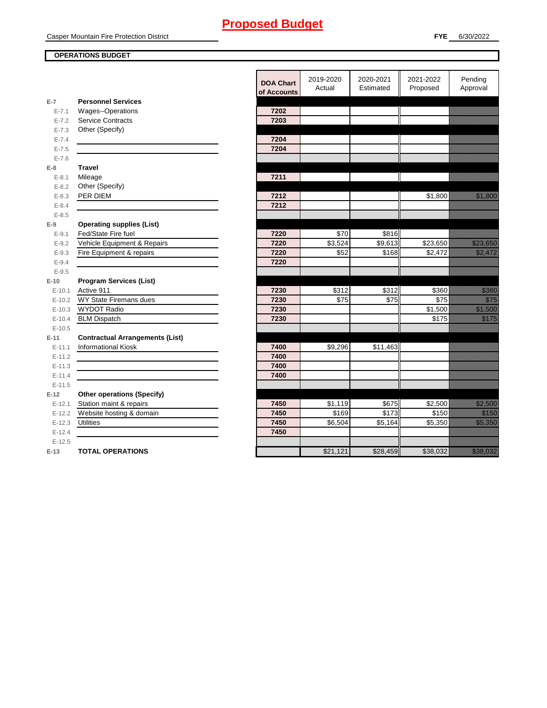#### **OPERATIONS BUDGET**

|                      |                                                                      | <b>DOA Chart</b><br>of Accounts | 2019-2020<br>Actual | 2020-2021<br>Estimated | 2021-2022<br>Proposed | Pending<br>Approval                                                                                                                                                                                                                                                                                                                                      |
|----------------------|----------------------------------------------------------------------|---------------------------------|---------------------|------------------------|-----------------------|----------------------------------------------------------------------------------------------------------------------------------------------------------------------------------------------------------------------------------------------------------------------------------------------------------------------------------------------------------|
| $E-7$                | <b>Personnel Services</b>                                            |                                 |                     |                        |                       |                                                                                                                                                                                                                                                                                                                                                          |
| $E - 7.1$            | <b>Wages--Operations</b>                                             | 7202                            |                     |                        |                       |                                                                                                                                                                                                                                                                                                                                                          |
| $E - 7.2$            | <b>Service Contracts</b>                                             | 7203                            |                     |                        |                       |                                                                                                                                                                                                                                                                                                                                                          |
| $E - 7.3$            | Other (Specify)                                                      |                                 |                     |                        |                       |                                                                                                                                                                                                                                                                                                                                                          |
| $E - 7.4$            |                                                                      | 7204                            |                     |                        |                       |                                                                                                                                                                                                                                                                                                                                                          |
| $E - 7.5$            |                                                                      | 7204                            |                     |                        |                       |                                                                                                                                                                                                                                                                                                                                                          |
| $E - 7.6$            |                                                                      |                                 |                     |                        |                       |                                                                                                                                                                                                                                                                                                                                                          |
| $E-8$                | <b>Travel</b>                                                        |                                 |                     |                        |                       |                                                                                                                                                                                                                                                                                                                                                          |
| $E - 8.1$            | Mileage                                                              | 7211                            |                     |                        |                       |                                                                                                                                                                                                                                                                                                                                                          |
| $E - 8.2$            | Other (Specify)                                                      |                                 |                     |                        |                       |                                                                                                                                                                                                                                                                                                                                                          |
| $E - 8.3$            | PER DIEM                                                             | 7212                            |                     |                        | \$1,800               | <u> Hillian Sa</u>                                                                                                                                                                                                                                                                                                                                       |
| $E - 8.4$            |                                                                      | 7212                            |                     |                        |                       |                                                                                                                                                                                                                                                                                                                                                          |
| $E - 8.5$            |                                                                      |                                 |                     |                        |                       |                                                                                                                                                                                                                                                                                                                                                          |
| $E-9$                | <b>Operating supplies (List)</b><br>Fed/State Fire fuel              |                                 |                     |                        |                       |                                                                                                                                                                                                                                                                                                                                                          |
| $E - 9.1$            |                                                                      | 7220<br>7220                    | \$70                | \$816                  |                       |                                                                                                                                                                                                                                                                                                                                                          |
| $E - 9.2$            | Vehicle Equipment & Repairs                                          |                                 | \$3,524<br>\$52     | \$9,613<br>\$168       | \$23,650              | <u> Karlingan Sa</u><br><u> Kalifornia (h. 1878).</u><br>NGC 1882 NASA EXTERNAL EXTREMENTAL EXTREMENTAL E POPULATIVE POPULATIVE POPULATIVE POPULATIVE POPULATIVE POPUL                                                                                                                                                                                   |
| $E - 9.3$            | Fire Equipment & repairs                                             | 7220<br>7220                    |                     |                        | \$2,472               |                                                                                                                                                                                                                                                                                                                                                          |
| $E - 9.4$            |                                                                      |                                 |                     |                        |                       |                                                                                                                                                                                                                                                                                                                                                          |
| $E - 9.5$            |                                                                      |                                 |                     |                        |                       |                                                                                                                                                                                                                                                                                                                                                          |
| $E-10$<br>$E - 10.1$ | <b>Program Services (List)</b><br>Active 911                         | 7230                            | \$312               | \$312                  | \$360                 | <u>till fra</u>                                                                                                                                                                                                                                                                                                                                          |
| $E-10.2$             | WY State Firemans dues                                               | 7230                            | \$75                | \$75                   | \$75                  |                                                                                                                                                                                                                                                                                                                                                          |
|                      | <b>WYDOT Radio</b>                                                   | 7230                            |                     |                        | \$1,500               | en de la familie de la familie de la familie de la familie de la familie de la familie de la familie de la fam<br>Estat de la familie de la familie de la familie de la familie de la familie de la familie de la familie de la<br><u>tion and the contract of the contract of the contract of the contract of the contract of the contract of the c</u> |
| $E-10.3$<br>$E-10.4$ | <b>BLM Dispatch</b>                                                  | 7230                            |                     |                        | \$175                 | a katika katika katika katika katika katika alifuwa alifuwa alifuwa alifuwa alifuwa alifuwa alifuwa alifuwa a<br>Katika katika katika katika katika katika katika katika katika katika katika katika katika katika katika katik                                                                                                                          |
| $E-10.5$             |                                                                      |                                 |                     |                        |                       |                                                                                                                                                                                                                                                                                                                                                          |
| $E-11$               |                                                                      |                                 |                     |                        |                       |                                                                                                                                                                                                                                                                                                                                                          |
| $E-11.1$             | <b>Contractual Arrangements (List)</b><br><b>Informational Kiosk</b> | 7400                            | \$9,296             | \$11,463               |                       |                                                                                                                                                                                                                                                                                                                                                          |
| $E-11.2$             |                                                                      | 7400                            |                     |                        |                       |                                                                                                                                                                                                                                                                                                                                                          |
| $E-11.3$             |                                                                      | 7400                            |                     |                        |                       |                                                                                                                                                                                                                                                                                                                                                          |
| $E-11.4$             |                                                                      | 7400                            |                     |                        |                       |                                                                                                                                                                                                                                                                                                                                                          |
| $E-11.5$             |                                                                      |                                 |                     |                        |                       |                                                                                                                                                                                                                                                                                                                                                          |
| $E-12$               | <b>Other operations (Specify)</b>                                    |                                 |                     |                        |                       |                                                                                                                                                                                                                                                                                                                                                          |
| $E-12.1$             | Station maint & repairs                                              | 7450                            | \$1,119             | \$675                  | \$2,500               | <u>till andre sta</u>                                                                                                                                                                                                                                                                                                                                    |
| $E-12.2$             | Website hosting & domain                                             | 7450                            | \$169               | \$173                  | \$150                 | <u>ti ka</u>                                                                                                                                                                                                                                                                                                                                             |
| $E-12.3$             | <b>Utilities</b>                                                     | 7450                            | \$6,504             | \$5,164                | \$5,350               | <u> Kalifornia (</u>                                                                                                                                                                                                                                                                                                                                     |
| $E-12.4$             |                                                                      | 7450                            |                     |                        |                       |                                                                                                                                                                                                                                                                                                                                                          |
| $E-12.5$             |                                                                      |                                 |                     |                        |                       |                                                                                                                                                                                                                                                                                                                                                          |
| $E-13$               | <b>TOTAL OPERATIONS</b>                                              |                                 | \$21,121            | \$28,459               | \$38,032              | <u>esta tarte</u>                                                                                                                                                                                                                                                                                                                                        |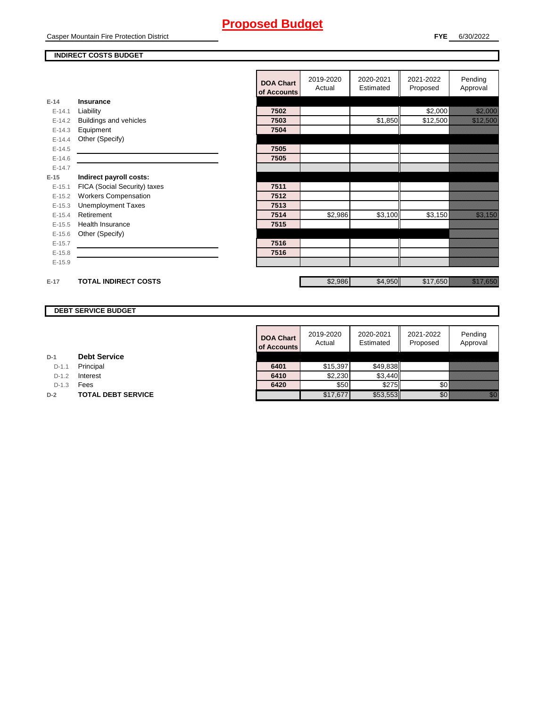# **Proposed Budget**

#### **INDIRECT COSTS BUDGET**

|          |                              | <b>DOA Chart</b><br>of Accounts | 2019-2020<br>Actual | 2020-2021<br>Estimated | 2021-2022<br>Proposed | Pending<br>Approval                                             |
|----------|------------------------------|---------------------------------|---------------------|------------------------|-----------------------|-----------------------------------------------------------------|
| $E-14$   | Insurance                    |                                 |                     |                        |                       |                                                                 |
| $E-14.1$ | Liability                    | 7502                            |                     |                        | \$2,000               | <u>in Marija Saraja</u>                                         |
| $E-14.2$ | Buildings and vehicles       | 7503                            |                     | \$1,850                | \$12,500              | <u> Kalifornia (h. 1888).</u><br>Naskiĝis de la Roma (h. 1888). |
| $E-14.3$ | Equipment                    | 7504                            |                     |                        |                       |                                                                 |
| $E-14.4$ | Other (Specify)              |                                 |                     |                        |                       |                                                                 |
| $E-14.5$ |                              | 7505                            |                     |                        |                       |                                                                 |
| $E-14.6$ |                              | 7505                            |                     |                        |                       |                                                                 |
| $E-14.7$ |                              |                                 |                     |                        |                       |                                                                 |
| $E-15$   | Indirect payroll costs:      |                                 |                     |                        |                       |                                                                 |
| $E-15.1$ | FICA (Social Security) taxes | 7511                            |                     |                        |                       |                                                                 |
| $E-15.2$ | <b>Workers Compensation</b>  | 7512                            |                     |                        |                       |                                                                 |
| $E-15.3$ | <b>Unemployment Taxes</b>    | 7513                            |                     |                        |                       |                                                                 |
| $E-15.4$ | Retirement                   | 7514                            | \$2,986             | \$3,100                | \$3,150               | <u>tionalisti</u>                                               |
| $E-15.5$ | <b>Health Insurance</b>      | 7515                            |                     |                        |                       |                                                                 |
| $E-15.6$ | Other (Specify)              |                                 |                     |                        |                       |                                                                 |
| $E-15.7$ |                              | 7516                            |                     |                        |                       |                                                                 |
| $E-15.8$ |                              | 7516                            |                     |                        |                       |                                                                 |
| $E-15.9$ |                              |                                 |                     |                        |                       |                                                                 |
| $E-17$   | <b>TOTAL INDIRECT COSTS</b>  |                                 | \$2,986             | \$4,950                | \$17,650              | <u> Karl Sara</u>                                               |

#### **DEBT SERVICE BUDGET**

|         |                           | <b>DOA Chart</b><br>of Accounts | 2019-2020<br>Actual | 2020-2021<br>Estimated | 2021-2022<br>Proposed | Pending<br>Approval |
|---------|---------------------------|---------------------------------|---------------------|------------------------|-----------------------|---------------------|
|         | <b>Debt Service</b>       |                                 |                     |                        |                       |                     |
| $D-1.1$ | Principal                 | 6401                            | \$15,397            | \$49,838               |                       |                     |
| $D-1.2$ | Interest                  | 6410                            | \$2,230             | \$3,440                |                       |                     |
| $D-1.3$ | Fees                      | 6420                            | \$50                | \$275                  | \$0                   |                     |
|         | <b>TOTAL DEBT SERVICE</b> |                                 | \$17,677            | \$53,553               | \$0                   | <u>film</u>         |

**D-1 Debt Service**

D-1.1 **Principal** 

D-1.2 **Interest** 

**D-2 TOTAL DEBT SERVICE**